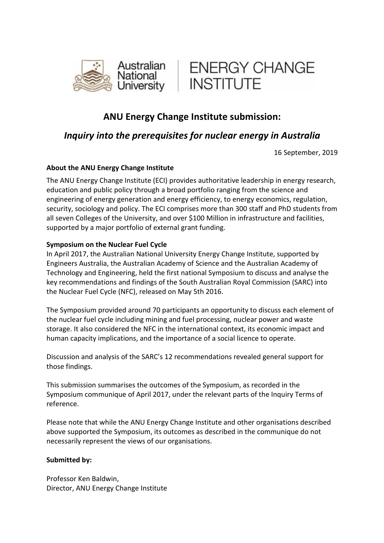



# **ANU Energy Change Institute submission:**

## *Inquiry into the prerequisites for nuclear energy in Australia*

16 September, 2019

## **About the ANU Energy Change Institute**

The ANU Energy Change Institute (ECI) provides authoritative leadership in energy research, education and public policy through a broad portfolio ranging from the science and engineering of energy generation and energy efficiency, to energy economics, regulation, security, sociology and policy. The ECI comprises more than 300 staff and PhD students from all seven Colleges of the University, and over \$100 Million in infrastructure and facilities, supported by a major portfolio of external grant funding.

#### **Symposium on the Nuclear Fuel Cycle**

In April 2017, the Australian National University Energy Change Institute, supported by Engineers Australia, the Australian Academy of Science and the Australian Academy of Technology and Engineering, held the first national Symposium to discuss and analyse the key recommendations and findings of the South Australian Royal Commission (SARC) into the Nuclear Fuel Cycle (NFC), released on May 5th 2016.

The Symposium provided around 70 participants an opportunity to discuss each element of the nuclear fuel cycle including mining and fuel processing, nuclear power and waste storage. It also considered the NFC in the international context, its economic impact and human capacity implications, and the importance of a social licence to operate.

Discussion and analysis of the SARC's 12 recommendations revealed general support for those findings.

This submission summarises the outcomes of the Symposium, as recorded in the Symposium communique of April 2017, under the relevant parts of the Inquiry Terms of reference.

Please note that while the ANU Energy Change Institute and other organisations described above supported the Symposium, its outcomes as described in the communique do not necessarily represent the views of our organisations.

#### **Submitted by:**

Professor Ken Baldwin, Director, ANU Energy Change Institute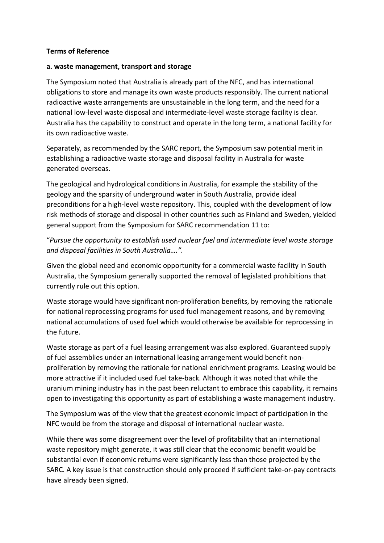#### **Terms of Reference**

#### **a. waste management, transport and storage**

The Symposium noted that Australia is already part of the NFC, and has international obligations to store and manage its own waste products responsibly. The current national radioactive waste arrangements are unsustainable in the long term, and the need for a national low-level waste disposal and intermediate-level waste storage facility is clear. Australia has the capability to construct and operate in the long term, a national facility for its own radioactive waste.

Separately, as recommended by the SARC report, the Symposium saw potential merit in establishing a radioactive waste storage and disposal facility in Australia for waste generated overseas.

The geological and hydrological conditions in Australia, for example the stability of the geology and the sparsity of underground water in South Australia, provide ideal preconditions for a high-level waste repository. This, coupled with the development of low risk methods of storage and disposal in other countries such as Finland and Sweden, yielded general support from the Symposium for SARC recommendation 11 to:

"*Pursue the opportunity to establish used nuclear fuel and intermediate level waste storage and disposal facilities in South Australia….".*

Given the global need and economic opportunity for a commercial waste facility in South Australia, the Symposium generally supported the removal of legislated prohibitions that currently rule out this option.

Waste storage would have significant non-proliferation benefits, by removing the rationale for national reprocessing programs for used fuel management reasons, and by removing national accumulations of used fuel which would otherwise be available for reprocessing in the future.

Waste storage as part of a fuel leasing arrangement was also explored. Guaranteed supply of fuel assemblies under an international leasing arrangement would benefit nonproliferation by removing the rationale for national enrichment programs. Leasing would be more attractive if it included used fuel take-back. Although it was noted that while the uranium mining industry has in the past been reluctant to embrace this capability, it remains open to investigating this opportunity as part of establishing a waste management industry.

The Symposium was of the view that the greatest economic impact of participation in the NFC would be from the storage and disposal of international nuclear waste.

While there was some disagreement over the level of profitability that an international waste repository might generate, it was still clear that the economic benefit would be substantial even if economic returns were significantly less than those projected by the SARC. A key issue is that construction should only proceed if sufficient take-or-pay contracts have already been signed.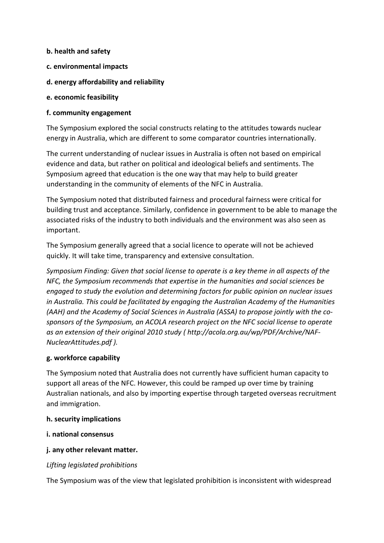#### **b. health and safety**

- **c. environmental impacts**
- **d. energy affordability and reliability**
- **e. economic feasibility**

### **f. community engagement**

The Symposium explored the social constructs relating to the attitudes towards nuclear energy in Australia, which are different to some comparator countries internationally.

The current understanding of nuclear issues in Australia is often not based on empirical evidence and data, but rather on political and ideological beliefs and sentiments. The Symposium agreed that education is the one way that may help to build greater understanding in the community of elements of the NFC in Australia.

The Symposium noted that distributed fairness and procedural fairness were critical for building trust and acceptance. Similarly, confidence in government to be able to manage the associated risks of the industry to both individuals and the environment was also seen as important.

The Symposium generally agreed that a social licence to operate will not be achieved quickly. It will take time, transparency and extensive consultation.

*Symposium Finding: Given that social license to operate is a key theme in all aspects of the NFC, the Symposium recommends that expertise in the humanities and social sciences be engaged to study the evolution and determining factors for public opinion on nuclear issues in Australia. This could be facilitated by engaging the Australian Academy of the Humanities (AAH) and the Academy of Social Sciences in Australia (ASSA) to propose jointly with the cosponsors of the Symposium, an ACOLA research project on the NFC social license to operate as an extension of their original 2010 study ( http://acola.org.au/wp/PDF/Archive/NAF-NuclearAttitudes.pdf ).*

#### **g. workforce capability**

The Symposium noted that Australia does not currently have sufficient human capacity to support all areas of the NFC. However, this could be ramped up over time by training Australian nationals, and also by importing expertise through targeted overseas recruitment and immigration.

#### **h. security implications**

- **i. national consensus**
- **j. any other relevant matter.**

## *Lifting legislated prohibitions*

The Symposium was of the view that legislated prohibition is inconsistent with widespread